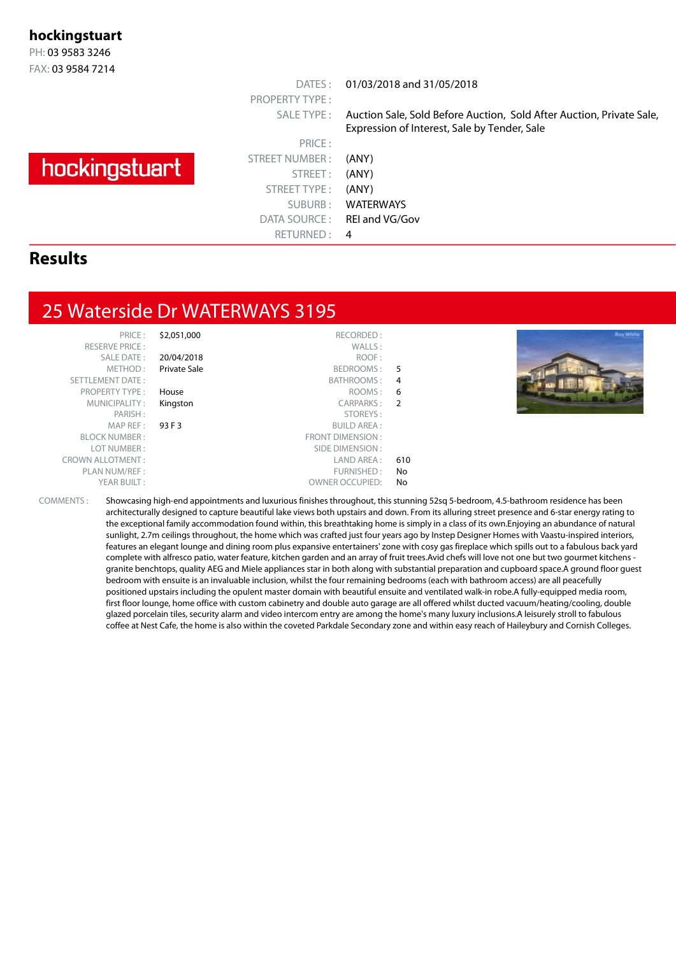#### **hockingstuart**

PH: 03 9583 3246 FAX: 03 9584 7214

# hockingstuart

PRICE : STREET NUMBER : (ANY) STREET: (ANY) STREET TYPE : (ANY) SUBURB : WATERWAYS DATA SOURCE: REI and VG/Gov RETURNED: 4

PROPERTY TYPE :

DATES : 01/03/2018 and 31/05/2018

SALE TYPE : Auction Sale, Sold Before Auction, Sold After Auction, Private Sale, Expression of Interest, Sale by Tender, Sale

#### **Results**

#### 25 Waterside Dr WATERWAYS 3195

| S2. | PRIC E :                |
|-----|-------------------------|
|     | <b>RESERVE PRICE:</b>   |
| 20/ | <b>SALE DATE:</b>       |
| Pri | METHOD:                 |
|     | <b>SETTLEMENT DATE:</b> |
| Hoi | <b>PROPERTY TYPE:</b>   |
| Kin | MUNICIPALITY:           |
|     | PARISH:                 |
| 931 | MAPREF:                 |
|     | <b>BLOCK NUMBER:</b>    |
|     | LOT NUMBER:             |
|     | <b>CROWN ALLOTMENT:</b> |
|     | PLAN NUM/REF:           |
|     | YFAR BUILT:             |

|               | \$2,051,000<br>RECORDED:     | PRICE:                  |
|---------------|------------------------------|-------------------------|
|               | WALLS:                       | <b>RESERVE PRICE:</b>   |
|               | 20/04/2018<br>ROOF:          | <b>SALE DATE:</b>       |
| 5             | Private Sale<br>BEDROOMS:    | METHOD:                 |
| 4             | BATHROOMS:                   | <b>SETTLEMENT DATE:</b> |
| 6             | ROOMS:<br>House              | <b>PROPERTY TYPE:</b>   |
| $\mathcal{P}$ | <b>CARPARKS:</b><br>Kingston | MUNICIPALITY:           |
|               | STOREYS:                     | PARISH:                 |
|               | 93 F 3<br><b>BUILD AREA:</b> | MAP REF:                |
|               | <b>FRONT DIMENSION:</b>      | <b>BLOCK NUMBER:</b>    |
|               | SIDE DIMENSION:              | LOT NUMBER:             |
| 610           | LAND AREA:                   | <b>CROWN ALLOTMENT:</b> |
| No            | FURNISHED:                   | PLAN NUM/REF:           |
| No            | <b>OWNER OCCUPIED:</b>       | YEAR BUILT:             |
|               |                              |                         |



COMMENTS : Showcasing high-end appointments and luxurious finishes throughout, this stunning 52sq 5-bedroom, 4.5-bathroom residence has been architecturally designed to capture beautiful lake views both upstairs and down. From its alluring street presence and 6-star energy rating to the exceptional family accommodation found within, this breathtaking home is simply in a class of its own.Enjoying an abundance of natural sunlight, 2.7m ceilings throughout, the home which was crafted just four years ago by Instep Designer Homes with Vaastu-inspired interiors, features an elegant lounge and dining room plus expansive entertainers' zone with cosy gas fireplace which spills out to a fabulous back yard complete with alfresco patio, water feature, kitchen garden and an array of fruit trees.Avid chefs will love not one but two gourmet kitchens granite benchtops, quality AEG and Miele appliances star in both along with substantial preparation and cupboard space.A ground floor guest bedroom with ensuite is an invaluable inclusion, whilst the four remaining bedrooms (each with bathroom access) are all peacefully positioned upstairs including the opulent master domain with beautiful ensuite and ventilated walk-in robe.A fully-equipped media room, first floor lounge, home office with custom cabinetry and double auto garage are all offered whilst ducted vacuum/heating/cooling, double glazed porcelain tiles, security alarm and video intercom entry are among the home's many luxury inclusions.A leisurely stroll to fabulous coffee at Nest Cafe, the home is also within the coveted Parkdale Secondary zone and within easy reach of Haileybury and Cornish Colleges.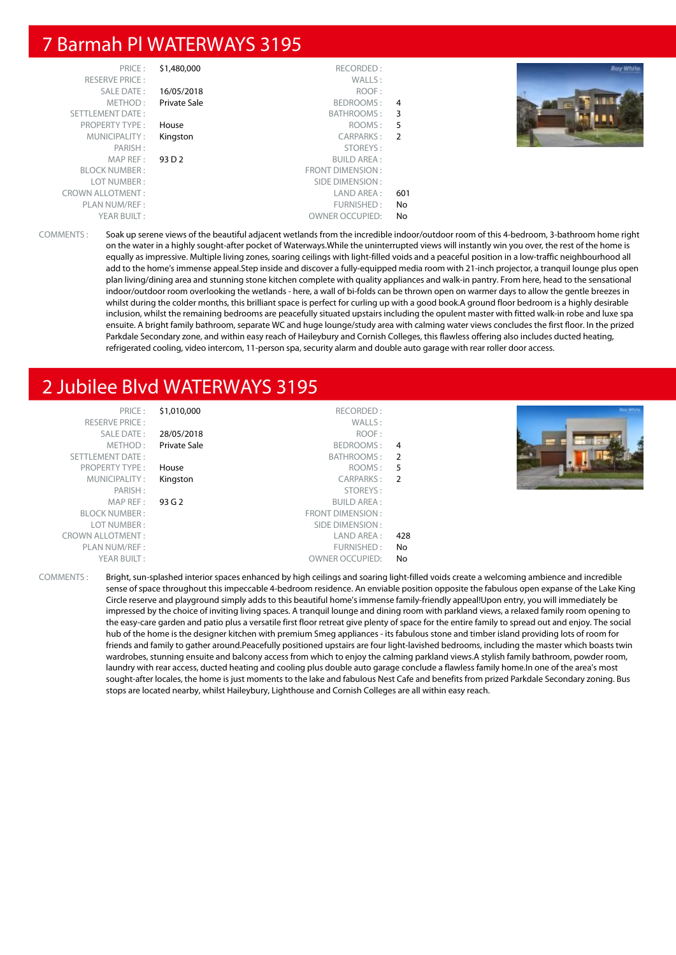#### 7 Barmah Pl WATERWAYS 3195

| <b>Ray White</b> |     | RECORDED:              | \$1,480,000  | PRICE:                  |
|------------------|-----|------------------------|--------------|-------------------------|
|                  |     | WALLS:                 |              | <b>RESERVE PRICE:</b>   |
|                  |     | ROOF:                  | 16/05/2018   | SALE DATE:              |
|                  | 4   | BEDROOMS:              | Private Sale | METHOD:                 |
|                  | 3   | BATHROOMS :            |              | SETTLEMENT DATE:        |
|                  | 5   | ROOMS:                 | House        | <b>PROPERTY TYPE:</b>   |
|                  | - 2 | CARPARKS:              | Kingston     | MUNICIPALITY:           |
|                  |     | STOREYS:               |              | PARISH:                 |
|                  |     | <b>BUILD AREA:</b>     | 93 D 2       | MAP REF :               |
|                  |     | FRONT DIMENSION:       |              | <b>BLOCK NUMBER:</b>    |
|                  |     | SIDE DIMENSION :       |              | LOT NUMBER:             |
|                  | 601 | LAND AREA :            |              | <b>CROWN ALLOTMENT:</b> |
|                  | No  | FURNISHED:             |              | PLAN NUM/REF :          |
|                  | No  | <b>OWNER OCCUPIED:</b> |              | YEAR BUILT:             |

COMMENTS : Soak up serene views of the beautiful adjacent wetlands from the incredible indoor/outdoor room of this 4-bedroom, 3-bathroom home right on the water in a highly sought-after pocket of Waterways.While the uninterrupted views will instantly win you over, the rest of the home is equally as impressive. Multiple living zones, soaring ceilings with light-filled voids and a peaceful position in a low-traffic neighbourhood all add to the home's immense appeal.Step inside and discover a fully-equipped media room with 21-inch projector, a tranquil lounge plus open plan living/dining area and stunning stone kitchen complete with quality appliances and walk-in pantry. From here, head to the sensational indoor/outdoor room overlooking the wetlands - here, a wall of bi-folds can be thrown open on warmer days to allow the gentle breezes in whilst during the colder months, this brilliant space is perfect for curling up with a good book.A ground floor bedroom is a highly desirable inclusion, whilst the remaining bedrooms are peacefully situated upstairs including the opulent master with fitted walk-in robe and luxe spa ensuite. A bright family bathroom, separate WC and huge lounge/study area with calming water views concludes the first floor. In the prized Parkdale Secondary zone, and within easy reach of Haileybury and Cornish Colleges, this flawless offering also includes ducted heating, refrigerated cooling, video intercom, 11-person spa, security alarm and double auto garage with rear roller door access.

## 2 Jubilee Blvd WATERWAYS 3195

| PRICE:<br><b>RESERVE PRICE:</b> | \$1,010,000  | RECORDED:<br>WALLS:    |                | <b>Roy White</b> |
|---------------------------------|--------------|------------------------|----------------|------------------|
| <b>SALE DATE:</b>               | 28/05/2018   | ROOF:                  |                |                  |
| METHOD:                         | Private Sale | BEDROOMS: 4            |                |                  |
| SETTLEMENT DATE:                |              | BATHROOMS:             | $\overline{2}$ |                  |
| <b>PROPERTY TYPE:</b>           | House        | ROOMS: 5               |                |                  |
| MUNICIPALITY:                   | Kingston     | CARPARKS: 2            |                |                  |
| PARISH:                         |              | STOREYS:               |                |                  |
| MAP REF:                        | 93 G 2       | <b>BUILD AREA:</b>     |                |                  |
| <b>BLOCK NUMBER:</b>            |              | FRONT DIMENSION:       |                |                  |
| LOT NUMBER:                     |              | SIDE DIMENSION :       |                |                  |
| <b>CROWN ALLOTMENT:</b>         |              | LAND AREA :            | 428            |                  |
| PLAN NUM/REF :                  |              | FURNISHED:             | No             |                  |
| YEAR BUILT:                     |              | <b>OWNER OCCUPIED:</b> | No             |                  |

COMMENTS : Bright, sun-splashed interior spaces enhanced by high ceilings and soaring light-filled voids create a welcoming ambience and incredible sense of space throughout this impeccable 4-bedroom residence. An enviable position opposite the fabulous open expanse of the Lake King Circle reserve and playground simply adds to this beautiful home's immense family-friendly appeal!Upon entry, you will immediately be impressed by the choice of inviting living spaces. A tranquil lounge and dining room with parkland views, a relaxed family room opening to the easy-care garden and patio plus a versatile first floor retreat give plenty of space for the entire family to spread out and enjoy. The social hub of the home is the designer kitchen with premium Smeg appliances - its fabulous stone and timber island providing lots of room for friends and family to gather around.Peacefully positioned upstairs are four light-lavished bedrooms, including the master which boasts twin wardrobes, stunning ensuite and balcony access from which to enjoy the calming parkland views.A stylish family bathroom, powder room, laundry with rear access, ducted heating and cooling plus double auto garage conclude a flawless family home.In one of the area's most sought-after locales, the home is just moments to the lake and fabulous Nest Cafe and benefits from prized Parkdale Secondary zoning. Bus stops are located nearby, whilst Haileybury, Lighthouse and Cornish Colleges are all within easy reach.